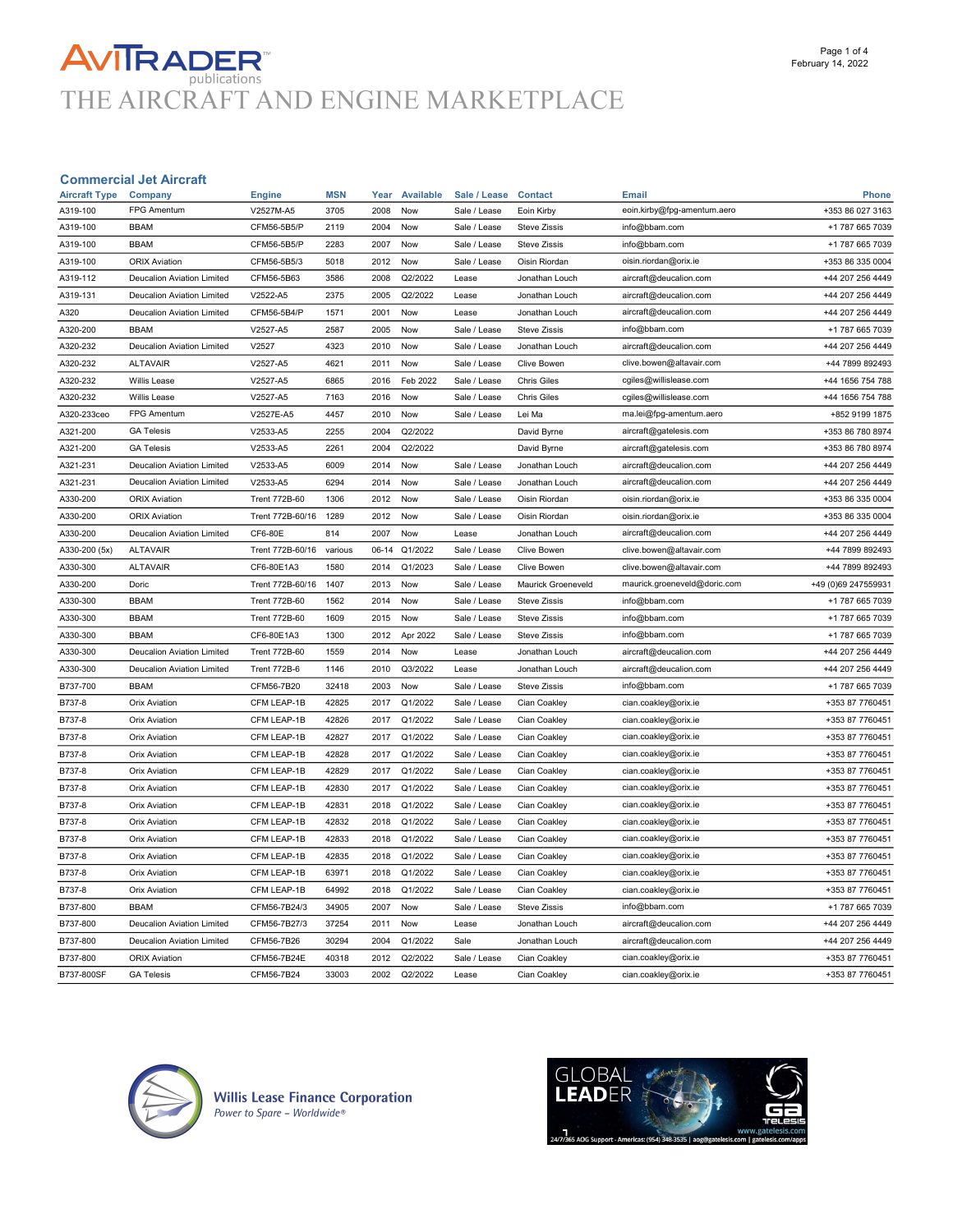# **AVITRADER**<br>THE AIRCRAFT AND ENGINE MARKETPLACE

#### Commercial Jet Aircraft

| <b>Aircraft Type</b> | Company                           | <b>Engine</b>        | <b>MSN</b> | Year  | <b>Available</b> | Sale / Lease | <b>Contact</b>      | <b>Email</b>                 | <b>Phone</b>        |
|----------------------|-----------------------------------|----------------------|------------|-------|------------------|--------------|---------------------|------------------------------|---------------------|
| A319-100             | <b>FPG Amentum</b>                | V2527M-A5            | 3705       | 2008  | Now              | Sale / Lease | Eoin Kirby          | eoin.kirby@fpg-amentum.aero  | +353 86 027 3163    |
| A319-100             | <b>BBAM</b>                       | CFM56-5B5/P          | 2119       | 2004  | Now              | Sale / Lease | <b>Steve Zissis</b> | info@bbam.com                | +1 787 665 7039     |
| A319-100             | <b>BBAM</b>                       | CFM56-5B5/P          | 2283       | 2007  | Now              | Sale / Lease | <b>Steve Zissis</b> | info@bbam.com                | +1 787 665 7039     |
| A319-100             | <b>ORIX Aviation</b>              | CFM56-5B5/3          | 5018       | 2012  | Now              | Sale / Lease | Oisin Riordan       | oisin.riordan@orix.ie        | +353 86 335 0004    |
| A319-112             | <b>Deucalion Aviation Limited</b> | CFM56-5B63           | 3586       | 2008  | Q2/2022          | Lease        | Jonathan Louch      | aircraft@deucalion.com       | +44 207 256 4449    |
| A319-131             | Deucalion Aviation Limited        | V2522-A5             | 2375       | 2005  | Q2/2022          | Lease        | Jonathan Louch      | aircraft@deucalion.com       | +44 207 256 4449    |
| A320                 | Deucalion Aviation Limited        | CFM56-5B4/P          | 1571       | 2001  | Now              | Lease        | Jonathan Louch      | aircraft@deucalion.com       | +44 207 256 4449    |
| A320-200             | <b>BBAM</b>                       | V2527-A5             | 2587       | 2005  | Now              | Sale / Lease | <b>Steve Zissis</b> | info@bbam.com                | +1 787 665 7039     |
| A320-232             | Deucalion Aviation Limited        | V2527                | 4323       | 2010  | Now              | Sale / Lease | Jonathan Louch      | aircraft@deucalion.com       | +44 207 256 4449    |
| A320-232             | <b>ALTAVAIR</b>                   | V2527-A5             | 4621       | 2011  | Now              | Sale / Lease | <b>Clive Bowen</b>  | clive.bowen@altavair.com     | +44 7899 892493     |
| A320-232             | Willis Lease                      | V2527-A5             | 6865       | 2016  | Feb 2022         | Sale / Lease | <b>Chris Giles</b>  | cgiles@willislease.com       | +44 1656 754 788    |
| A320-232             | Willis Lease                      | V2527-A5             | 7163       | 2016  | Now              | Sale / Lease | <b>Chris Giles</b>  | cgiles@willislease.com       | +44 1656 754 788    |
| A320-233ceo          | <b>FPG Amentum</b>                | V2527E-A5            | 4457       | 2010  | Now              | Sale / Lease | Lei Ma              | ma.lei@fpg-amentum.aero      | +852 9199 1875      |
| A321-200             | <b>GA Telesis</b>                 | V2533-A5             | 2255       | 2004  | Q2/2022          |              | David Byrne         | aircraft@gatelesis.com       | +353 86 780 8974    |
| A321-200             | <b>GA Telesis</b>                 | V2533-A5             | 2261       | 2004  | Q2/2022          |              | David Byrne         | aircraft@gatelesis.com       | +353 86 780 8974    |
| A321-231             | Deucalion Aviation Limited        | V2533-A5             | 6009       | 2014  | Now              | Sale / Lease | Jonathan Louch      | aircraft@deucalion.com       | +44 207 256 4449    |
| A321-231             | <b>Deucalion Aviation Limited</b> | V2533-A5             | 6294       | 2014  | Now              | Sale / Lease | Jonathan Louch      | aircraft@deucalion.com       | +44 207 256 4449    |
| A330-200             | <b>ORIX Aviation</b>              | <b>Trent 772B-60</b> | 1306       | 2012  | Now              | Sale / Lease | Oisin Riordan       | oisin.riordan@orix.ie        | +353 86 335 0004    |
| A330-200             | <b>ORIX Aviation</b>              | Trent 772B-60/16     | 1289       | 2012  | Now              | Sale / Lease | Oisin Riordan       | oisin.riordan@orix.ie        | +353 86 335 0004    |
| A330-200             | <b>Deucalion Aviation Limited</b> | CF6-80E              | 814        | 2007  | Now              | Lease        | Jonathan Louch      | aircraft@deucalion.com       | +44 207 256 4449    |
| A330-200 (5x)        | <b>ALTAVAIR</b>                   | Trent 772B-60/16     | various    | 06-14 | Q1/2022          | Sale / Lease | Clive Bowen         | clive.bowen@altavair.com     | +44 7899 892493     |
| A330-300             | <b>ALTAVAIR</b>                   | CF6-80E1A3           | 1580       | 2014  | Q1/2023          | Sale / Lease | Clive Bowen         | clive.bowen@altavair.com     | +44 7899 892493     |
| A330-200             | Doric                             | Trent 772B-60/16     | 1407       | 2013  | Now              | Sale / Lease | Maurick Groeneveld  | maurick.groeneveld@doric.com | +49 (0)69 247559931 |
| A330-300             | <b>BBAM</b>                       | <b>Trent 772B-60</b> | 1562       | 2014  | Now              | Sale / Lease | <b>Steve Zissis</b> | info@bbam.com                | +1 787 665 7039     |
| A330-300             | <b>BBAM</b>                       | <b>Trent 772B-60</b> | 1609       | 2015  | Now              | Sale / Lease | <b>Steve Zissis</b> | info@bbam.com                | +1 787 665 7039     |
| A330-300             | <b>BBAM</b>                       | CF6-80E1A3           | 1300       | 2012  | Apr 2022         | Sale / Lease | <b>Steve Zissis</b> | info@bbam.com                | +1 787 665 7039     |
| A330-300             | Deucalion Aviation Limited        | <b>Trent 772B-60</b> | 1559       | 2014  | Now              | Lease        | Jonathan Louch      | aircraft@deucalion.com       | +44 207 256 4449    |
| A330-300             | Deucalion Aviation Limited        | <b>Trent 772B-6</b>  | 1146       | 2010  | Q3/2022          | Lease        | Jonathan Louch      | aircraft@deucalion.com       | +44 207 256 4449    |
| B737-700             | <b>BBAM</b>                       | CFM56-7B20           | 32418      | 2003  | Now              | Sale / Lease | <b>Steve Zissis</b> | info@bbam.com                | +1 787 665 7039     |
| B737-8               | <b>Orix Aviation</b>              | CFM LEAP-1B          | 42825      | 2017  | Q1/2022          | Sale / Lease | Cian Coakley        | cian.coakley@orix.ie         | +353 87 7760451     |
| B737-8               | <b>Orix Aviation</b>              | CFM LEAP-1B          | 42826      | 2017  | Q1/2022          | Sale / Lease | Cian Coakley        | cian.coakley@orix.ie         | +353 87 7760451     |
| B737-8               | <b>Orix Aviation</b>              | CFM LEAP-1B          | 42827      | 2017  | Q1/2022          | Sale / Lease | Cian Coakley        | cian.coakley@orix.ie         | +353 87 7760451     |
| B737-8               | <b>Orix Aviation</b>              | CFM LEAP-1B          | 42828      | 2017  | Q1/2022          | Sale / Lease | Cian Coakley        | cian.coakley@orix.ie         | +353 87 7760451     |
| B737-8               | <b>Orix Aviation</b>              | CFM LEAP-1B          | 42829      | 2017  | Q1/2022          | Sale / Lease | Cian Coakley        | cian.coakley@orix.ie         | +353 87 7760451     |
| B737-8               | <b>Orix Aviation</b>              | CFM LEAP-1B          | 42830      | 2017  | Q1/2022          | Sale / Lease | Cian Coakley        | cian.coakley@orix.ie         | +353 87 7760451     |
| B737-8               | <b>Orix Aviation</b>              | CFM LEAP-1B          | 42831      | 2018  | Q1/2022          | Sale / Lease | Cian Coakley        | cian.coakley@orix.ie         | +353 87 7760451     |
| B737-8               | <b>Orix Aviation</b>              | CFM LEAP-1B          | 42832      | 2018  | Q1/2022          | Sale / Lease | Cian Coakley        | cian.coakley@orix.ie         | +353 87 7760451     |
| B737-8               | <b>Orix Aviation</b>              | CFM LEAP-1B          | 42833      | 2018  | Q1/2022          | Sale / Lease | Cian Coakley        | cian.coakley@orix.ie         | +353 87 7760451     |
| B737-8               | <b>Orix Aviation</b>              | CFM LEAP-1B          | 42835      | 2018  | Q1/2022          | Sale / Lease | Cian Coakley        | cian.coakley@orix.ie         | +353 87 7760451     |
| B737-8               | <b>Orix Aviation</b>              | CFM LEAP-1B          | 63971      | 2018  | Q1/2022          | Sale / Lease | Cian Coakley        | cian.coakley@orix.ie         | +353 87 7760451     |
| B737-8               | <b>Orix Aviation</b>              | CFM LEAP-1B          | 64992      | 2018  | Q1/2022          | Sale / Lease | Cian Coakley        | cian.coakley@orix.ie         | +353 87 7760451     |
| B737-800             | <b>BBAM</b>                       | CFM56-7B24/3         | 34905      | 2007  | Now              | Sale / Lease | <b>Steve Zissis</b> | info@bbam.com                | +1 787 665 7039     |
| B737-800             | Deucalion Aviation Limited        | CFM56-7B27/3         | 37254      | 2011  | Now              | Lease        | Jonathan Louch      | aircraft@deucalion.com       | +44 207 256 4449    |
| B737-800             | <b>Deucalion Aviation Limited</b> | CFM56-7B26           | 30294      | 2004  | Q1/2022          | Sale         | Jonathan Louch      | aircraft@deucalion.com       | +44 207 256 4449    |
| B737-800             | <b>ORIX Aviation</b>              | CFM56-7B24E          | 40318      | 2012  | Q2/2022          | Sale / Lease | Cian Coakley        | cian.coakley@orix.ie         | +353 87 7760451     |
| B737-800SF           | <b>GA Telesis</b>                 | CFM56-7B24           | 33003      | 2002  | Q2/2022          | Lease        | Cian Coakley        | cian.coakley@orix.ie         | +353 87 7760451     |



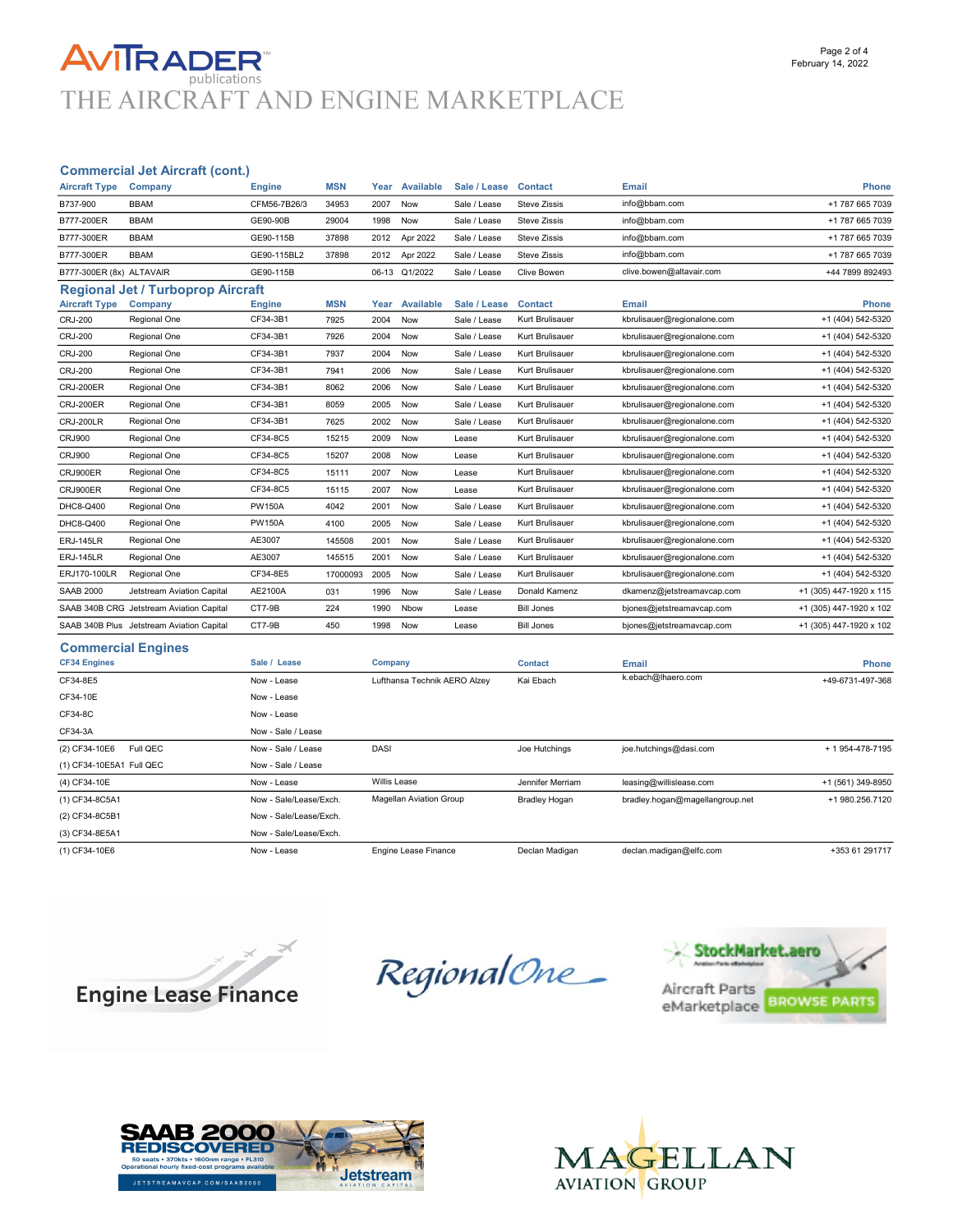### **AVITRADER** THE AIRCRAFT AND ENGINE MARKETPLACE

#### Commercial Jet Aircraft (cont.)

| <b>Aircraft Type</b>     | Company                                   | <b>Engine</b> | <b>MSN</b> | Year | Available        | Sale / Lease Contact |                     | <b>Email</b>                | Phone                   |
|--------------------------|-------------------------------------------|---------------|------------|------|------------------|----------------------|---------------------|-----------------------------|-------------------------|
| B737-900                 | <b>BBAM</b>                               | CFM56-7B26/3  | 34953      | 2007 | Now              | Sale / Lease         | <b>Steve Zissis</b> | info@bbam.com               | +1 787 665 7039         |
| B777-200ER               | <b>BBAM</b>                               | GE90-90B      | 29004      | 1998 | Now              | Sale / Lease         | <b>Steve Zissis</b> | info@bbam.com               | +1 787 665 7039         |
| B777-300ER               | <b>BBAM</b>                               | GE90-115B     | 37898      | 2012 | Apr 2022         | Sale / Lease         | <b>Steve Zissis</b> | info@bbam.com               | +1 787 665 7039         |
| B777-300ER               | <b>BBAM</b>                               | GE90-115BL2   | 37898      | 2012 | Apr 2022         | Sale / Lease         | <b>Steve Zissis</b> | info@bbam.com               | +1 787 665 7039         |
| B777-300ER (8x) ALTAVAIR |                                           | GE90-115B     |            |      | 06-13 Q1/2022    | Sale / Lease         | Clive Bowen         | clive.bowen@altavair.com    | +44 7899 892493         |
|                          | <b>Regional Jet / Turboprop Aircraft</b>  |               |            |      |                  |                      |                     |                             |                         |
| <b>Aircraft Type</b>     | Company                                   | <b>Engine</b> | <b>MSN</b> | Year | <b>Available</b> | Sale / Lease         | <b>Contact</b>      | Email                       | <b>Phone</b>            |
| <b>CRJ-200</b>           | Regional One                              | CF34-3B1      | 7925       | 2004 | Now              | Sale / Lease         | Kurt Brulisauer     | kbrulisauer@regionalone.com | +1 (404) 542-5320       |
| <b>CRJ-200</b>           | Regional One                              | CF34-3B1      | 7926       | 2004 | Now              | Sale / Lease         | Kurt Brulisauer     | kbrulisauer@regionalone.com | +1 (404) 542-5320       |
| <b>CRJ-200</b>           | Regional One                              | CF34-3B1      | 7937       | 2004 | Now              | Sale / Lease         | Kurt Brulisauer     | kbrulisauer@regionalone.com | +1 (404) 542-5320       |
| <b>CRJ-200</b>           | Regional One                              | CF34-3B1      | 7941       | 2006 | Now              | Sale / Lease         | Kurt Brulisauer     | kbrulisauer@regionalone.com | +1 (404) 542-5320       |
| <b>CRJ-200ER</b>         | Regional One                              | CF34-3B1      | 8062       | 2006 | Now              | Sale / Lease         | Kurt Brulisauer     | kbrulisauer@regionalone.com | +1 (404) 542-5320       |
| <b>CRJ-200ER</b>         | Regional One                              | CF34-3B1      | 8059       | 2005 | Now              | Sale / Lease         | Kurt Brulisauer     | kbrulisauer@regionalone.com | +1 (404) 542-5320       |
| <b>CRJ-200LR</b>         | Regional One                              | CF34-3B1      | 7625       | 2002 | Now              | Sale / Lease         | Kurt Brulisauer     | kbrulisauer@regionalone.com | +1 (404) 542-5320       |
| <b>CRJ900</b>            | Regional One                              | CF34-8C5      | 15215      | 2009 | Now              | Lease                | Kurt Brulisauer     | kbrulisauer@regionalone.com | +1 (404) 542-5320       |
| <b>CRJ900</b>            | Regional One                              | CF34-8C5      | 15207      | 2008 | Now              | Lease                | Kurt Brulisauer     | kbrulisauer@regionalone.com | +1 (404) 542-5320       |
| CRJ900ER                 | Regional One                              | CF34-8C5      | 15111      | 2007 | Now              | Lease                | Kurt Brulisauer     | kbrulisauer@regionalone.com | +1 (404) 542-5320       |
| CRJ900ER                 | Regional One                              | CF34-8C5      | 15115      | 2007 | Now              | Lease                | Kurt Brulisauer     | kbrulisauer@regionalone.com | +1 (404) 542-5320       |
| DHC8-Q400                | Regional One                              | <b>PW150A</b> | 4042       | 2001 | Now              | Sale / Lease         | Kurt Brulisauer     | kbrulisauer@regionalone.com | +1 (404) 542-5320       |
| DHC8-Q400                | Regional One                              | <b>PW150A</b> | 4100       | 2005 | Now              | Sale / Lease         | Kurt Brulisauer     | kbrulisauer@regionalone.com | +1 (404) 542-5320       |
| <b>ERJ-145LR</b>         | Regional One                              | AE3007        | 145508     | 2001 | Now              | Sale / Lease         | Kurt Brulisauer     | kbrulisauer@regionalone.com | +1 (404) 542-5320       |
| <b>ERJ-145LR</b>         | Regional One                              | AE3007        | 145515     | 2001 | Now              | Sale / Lease         | Kurt Brulisauer     | kbrulisauer@regionalone.com | +1 (404) 542-5320       |
| ERJ170-100LR             | Regional One                              | CF34-8E5      | 17000093   | 2005 | Now              | Sale / Lease         | Kurt Brulisauer     | kbrulisauer@regionalone.com | +1 (404) 542-5320       |
| <b>SAAB 2000</b>         | Jetstream Aviation Capital                | AE2100A       | 031        | 1996 | Now              | Sale / Lease         | Donald Kamenz       | dkamenz@jetstreamavcap.com  | +1 (305) 447-1920 x 115 |
|                          | SAAB 340B CRG Jetstream Aviation Capital  | CT7-9B        | 224        | 1990 | Nbow             | Lease                | <b>Bill Jones</b>   | bjones@jetstreamavcap.com   | +1 (305) 447-1920 x 102 |
|                          | SAAB 340B Plus Jetstream Aviation Capital | CT7-9B        | 450        | 1998 | Now              | Lease                | <b>Bill Jones</b>   | bjones@jetstreamavcap.com   | +1 (305) 447-1920 x 102 |
|                          |                                           |               |            |      |                  |                      |                     |                             |                         |

#### Commercial Engines

| <b>CF34 Engines</b>       | Sale / Lease           | Company                      | <b>Contact</b>       | Email                           | Phone             |
|---------------------------|------------------------|------------------------------|----------------------|---------------------------------|-------------------|
| CF34-8E5                  | Now - Lease            | Lufthansa Technik AERO Alzey | Kai Ebach            | k.ebach@lhaero.com              | +49-6731-497-368  |
| CF34-10E                  | Now - Lease            |                              |                      |                                 |                   |
| CF34-8C                   | Now - Lease            |                              |                      |                                 |                   |
| CF34-3A                   | Now - Sale / Lease     |                              |                      |                                 |                   |
| (2) CF34-10E6<br>Full QEC | Now - Sale / Lease     | <b>DASI</b>                  | Joe Hutchings        | joe.hutchings@dasi.com          | + 1 954-478-7195  |
| (1) CF34-10E5A1 Full QEC  | Now - Sale / Lease     |                              |                      |                                 |                   |
| (4) CF34-10E              | Now - Lease            | Willis Lease                 | Jennifer Merriam     | leasing@willislease.com         | +1 (561) 349-8950 |
| (1) CF34-8C5A1            | Now - Sale/Lease/Exch. | Magellan Aviation Group      | <b>Bradley Hogan</b> | bradley.hogan@magellangroup.net | +1 980.256.7120   |
| (2) CF34-8C5B1            | Now - Sale/Lease/Exch. |                              |                      |                                 |                   |
| (3) CF34-8E5A1            | Now - Sale/Lease/Exch. |                              |                      |                                 |                   |
| (1) CF34-10E6             | Now - Lease            | Engine Lease Finance         | Declan Madigan       | declan.madigan@elfc.com         | +353 61 291717    |



RegionalOne\_





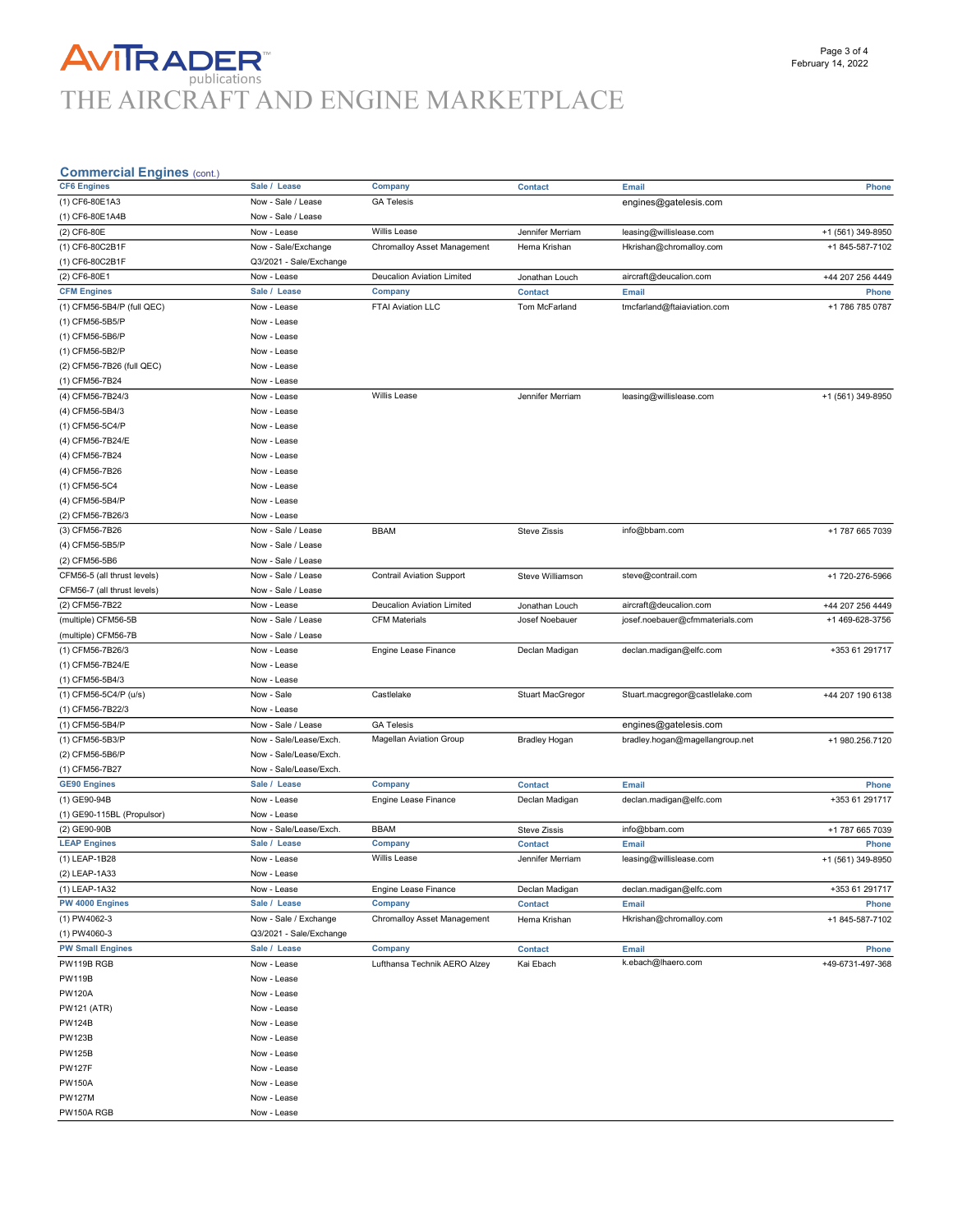## **AVITRADER**<br>THE AIRCRAFT AND ENGINE MARKETPLACE

| g…uwww<br><b>CF6 Engines</b>                  | Sale / Lease                      | Company                          | <b>Contact</b>                   | Email                                                     | Phone                               |
|-----------------------------------------------|-----------------------------------|----------------------------------|----------------------------------|-----------------------------------------------------------|-------------------------------------|
| (1) CF6-80E1A3                                | Now - Sale / Lease                | <b>GA Telesis</b>                |                                  | engines@gatelesis.com                                     |                                     |
| (1) CF6-80E1A4B                               | Now - Sale / Lease                |                                  |                                  |                                                           |                                     |
| (2) CF6-80E                                   | Now - Lease                       | <b>Willis Lease</b>              | Jennifer Merriam                 | leasing@willislease.com                                   | +1 (561) 349-8950                   |
| (1) CF6-80C2B1F                               | Now - Sale/Exchange               | Chromalloy Asset Management      | Hema Krishan                     | Hkrishan@chromalloy.com                                   | +1 845-587-7102                     |
| (1) CF6-80C2B1F                               | Q3/2021 - Sale/Exchange           |                                  |                                  |                                                           |                                     |
| (2) CF6-80E1                                  | Now - Lease                       | Deucalion Aviation Limited       | Jonathan Louch                   | aircraft@deucalion.com                                    | +44 207 256 4449                    |
| <b>CFM Engines</b>                            | Sale / Lease                      | Company                          | <b>Contact</b>                   | Email                                                     | Phone                               |
| (1) CFM56-5B4/P (full QEC)                    | Now - Lease                       | FTAI Aviation LLC                | Tom McFarland                    | tmcfarland@ftaiaviation.com                               | +1 786 785 0787                     |
| (1) CFM56-5B5/P                               | Now - Lease                       |                                  |                                  |                                                           |                                     |
| (1) CFM56-5B6/P                               | Now - Lease                       |                                  |                                  |                                                           |                                     |
| (1) CFM56-5B2/P                               | Now - Lease                       |                                  |                                  |                                                           |                                     |
| (2) CFM56-7B26 (full QEC)                     | Now - Lease                       |                                  |                                  |                                                           |                                     |
| (1) CFM56-7B24                                | Now - Lease                       |                                  |                                  |                                                           |                                     |
| (4) CFM56-7B24/3                              | Now - Lease                       | Willis Lease                     | Jennifer Merriam                 | leasing@willislease.com                                   | +1 (561) 349-8950                   |
| (4) CFM56-5B4/3                               | Now - Lease                       |                                  |                                  |                                                           |                                     |
| (1) CFM56-5C4/P                               | Now - Lease                       |                                  |                                  |                                                           |                                     |
| (4) CFM56-7B24/E                              | Now - Lease                       |                                  |                                  |                                                           |                                     |
| (4) CFM56-7B24                                | Now - Lease                       |                                  |                                  |                                                           |                                     |
| (4) CFM56-7B26                                | Now - Lease                       |                                  |                                  |                                                           |                                     |
| (1) CFM56-5C4                                 | Now - Lease                       |                                  |                                  |                                                           |                                     |
| (4) CFM56-5B4/P                               | Now - Lease                       |                                  |                                  |                                                           |                                     |
| (2) CFM56-7B26/3                              | Now - Lease                       |                                  |                                  |                                                           |                                     |
| (3) CFM56-7B26                                | Now - Sale / Lease                | <b>BBAM</b>                      | <b>Steve Zissis</b>              | info@bbam.com                                             | +1 787 665 7039                     |
| (4) CFM56-5B5/P                               | Now - Sale / Lease                |                                  |                                  |                                                           |                                     |
|                                               | Now - Sale / Lease                |                                  |                                  |                                                           |                                     |
| (2) CFM56-5B6<br>CFM56-5 (all thrust levels)  | Now - Sale / Lease                | <b>Contrail Aviation Support</b> |                                  |                                                           |                                     |
|                                               |                                   |                                  | Steve Williamson                 | steve@contrail.com                                        | +1 720-276-5966                     |
| CFM56-7 (all thrust levels)<br>(2) CFM56-7B22 | Now - Sale / Lease                | Deucalion Aviation Limited       |                                  |                                                           |                                     |
| (multiple) CFM56-5B                           | Now - Lease<br>Now - Sale / Lease | <b>CFM Materials</b>             | Jonathan Louch<br>Josef Noebauer | aircraft@deucalion.com<br>josef.noebauer@cfmmaterials.com | +44 207 256 4449<br>+1 469-628-3756 |
|                                               | Now - Sale / Lease                |                                  |                                  |                                                           |                                     |
| (multiple) CFM56-7B                           |                                   |                                  |                                  |                                                           |                                     |
| (1) CFM56-7B26/3                              | Now - Lease                       | Engine Lease Finance             | Declan Madigan                   | declan.madigan@elfc.com                                   | +353 61 291717                      |
| (1) CFM56-7B24/E                              | Now - Lease                       |                                  |                                  |                                                           |                                     |
| (1) CFM56-5B4/3                               | Now - Lease                       |                                  |                                  |                                                           |                                     |
| (1) CFM56-5C4/P (u/s)                         | Now - Sale                        | Castlelake                       | <b>Stuart MacGregor</b>          | Stuart.macgregor@castlelake.com                           | +44 207 190 6138                    |
| (1) CFM56-7B22/3                              | Now - Lease                       |                                  |                                  |                                                           |                                     |
| (1) CFM56-5B4/P                               | Now - Sale / Lease                | <b>GA Telesis</b>                |                                  | engines@gatelesis.com                                     |                                     |
| (1) CFM56-5B3/P                               | Now - Sale/Lease/Exch.            | <b>Magellan Aviation Group</b>   | <b>Bradley Hogan</b>             | bradley.hogan@magellangroup.net                           | +1 980.256.7120                     |
| (2) CFM56-5B6/P                               | Now - Sale/Lease/Exch.            |                                  |                                  |                                                           |                                     |
| (1) CFM56-7B27                                | Now - Sale/Lease/Exch.            |                                  |                                  |                                                           |                                     |
| <b>GE90 Engines</b>                           | Sale / Lease                      | Company                          | <b>Contact</b>                   | Email                                                     | <b>Phone</b>                        |
| (1) GE90-94B                                  | Now - Lease                       | Engine Lease Finance             | Declan Madigan                   | declan.madigan@elfc.com                                   | +353 61 291717                      |
| (1) GE90-115BL (Propulsor)                    | Now - Lease                       |                                  |                                  |                                                           |                                     |
| (2) GE90-90B                                  | Now - Sale/Lease/Exch.            | <b>BBAM</b>                      | Steve Zissis                     | info@bbam.com                                             | +1 787 665 7039                     |
| <b>LEAP Engines</b>                           | Sale / Lease                      | Company                          | <b>Contact</b>                   | Email                                                     | <b>Phone</b>                        |
| (1) LEAP-1B28                                 | Now - Lease                       | <b>Willis Lease</b>              | Jennifer Merriam                 | leasing@willislease.com                                   | +1 (561) 349-8950                   |
| (2) LEAP-1A33                                 | Now - Lease                       |                                  |                                  |                                                           |                                     |
| (1) LEAP-1A32                                 | Now - Lease                       | <b>Engine Lease Finance</b>      | Declan Madigan                   | declan.madigan@elfc.com                                   | +353 61 291717                      |
| PW 4000 Engines                               | Sale / Lease                      | <b>Company</b>                   | <b>Contact</b>                   | Email                                                     | <b>Phone</b>                        |
| (1) PW4062-3                                  | Now - Sale / Exchange             | Chromalloy Asset Management      | Hema Krishan                     | Hkrishan@chromalloy.com                                   | +1 845-587-7102                     |
| (1) PW4060-3                                  | Q3/2021 - Sale/Exchange           |                                  |                                  |                                                           |                                     |
| <b>PW Small Engines</b>                       | Sale / Lease                      | Company                          | <b>Contact</b>                   | Email                                                     | Phone                               |
| PW119B RGB                                    | Now - Lease                       | Lufthansa Technik AERO Alzey     | Kai Ebach                        | k.ebach@lhaero.com                                        | +49-6731-497-368                    |
| <b>PW119B</b>                                 | Now - Lease                       |                                  |                                  |                                                           |                                     |
| <b>PW120A</b>                                 | Now - Lease                       |                                  |                                  |                                                           |                                     |
| <b>PW121 (ATR)</b>                            | Now - Lease                       |                                  |                                  |                                                           |                                     |
| <b>PW124B</b>                                 | Now - Lease                       |                                  |                                  |                                                           |                                     |
| <b>PW123B</b>                                 | Now - Lease                       |                                  |                                  |                                                           |                                     |
| <b>PW125B</b>                                 | Now - Lease                       |                                  |                                  |                                                           |                                     |
| <b>PW127F</b>                                 | Now - Lease                       |                                  |                                  |                                                           |                                     |
| <b>PW150A</b>                                 | Now - Lease                       |                                  |                                  |                                                           |                                     |
| <b>PW127M</b>                                 | Now - Lease                       |                                  |                                  |                                                           |                                     |
| PW150A RGB                                    | Now - Lease                       |                                  |                                  |                                                           |                                     |